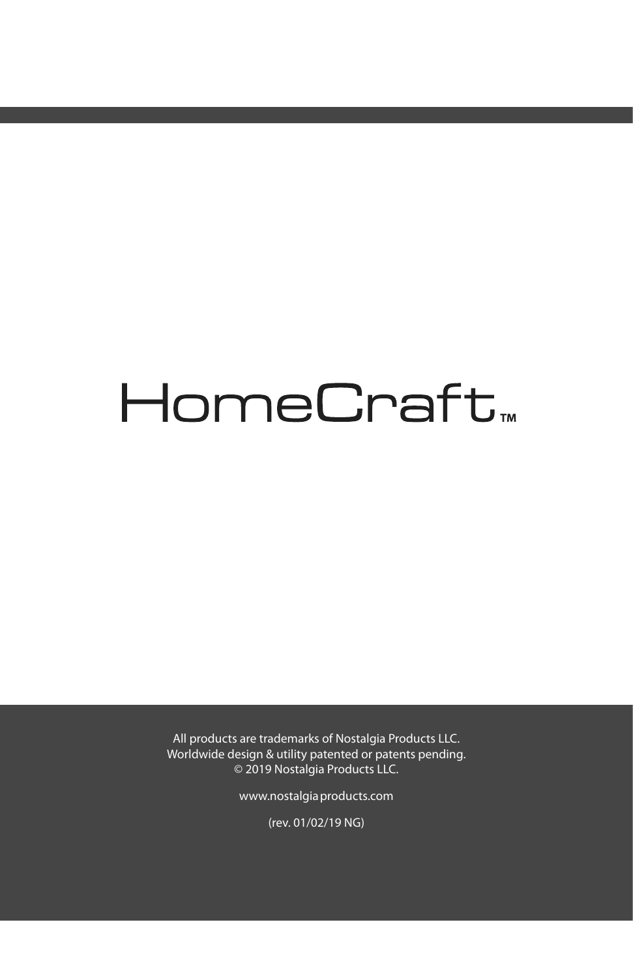# HomeCraft<sub>™</sub>

All products are trademarks of Nostalgia Products LLC. Worldwide design & utility patented or patents pending. © 2019 Nostalgia Products LLC.

www.nostalgiaproducts.com

(rev. 01/02/19 NG)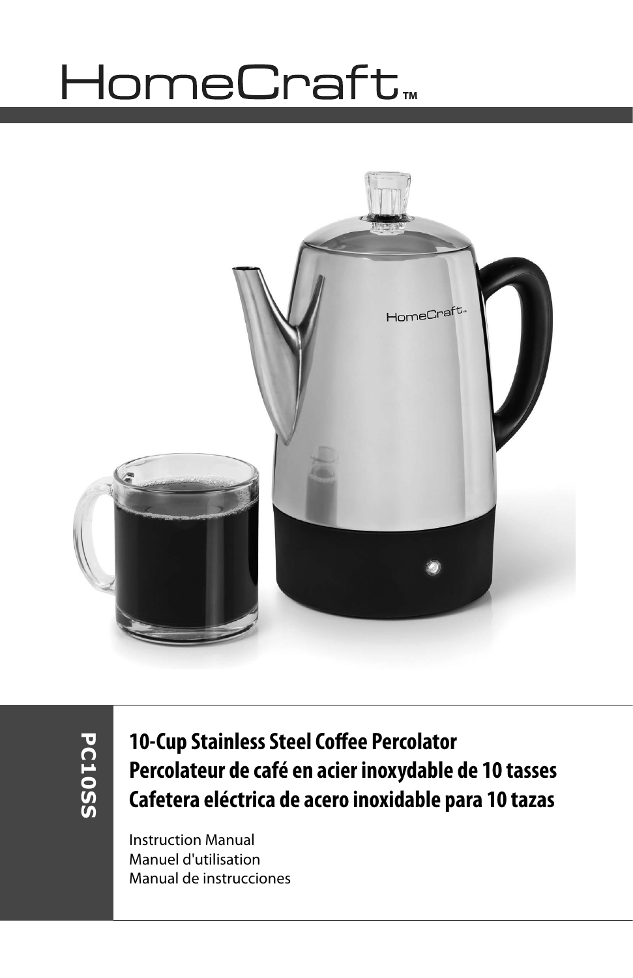# HomeCraft<sub>™</sub>



**PC10SS PC10SS**

**10-Cup Stainless Steel Coffee Percolator Percolateur de café en acier inoxydable de 10 tasses Cafetera eléctrica de acero inoxidable para 10 tazas**

Instruction Manual Manuel d'utilisation Manual de instrucciones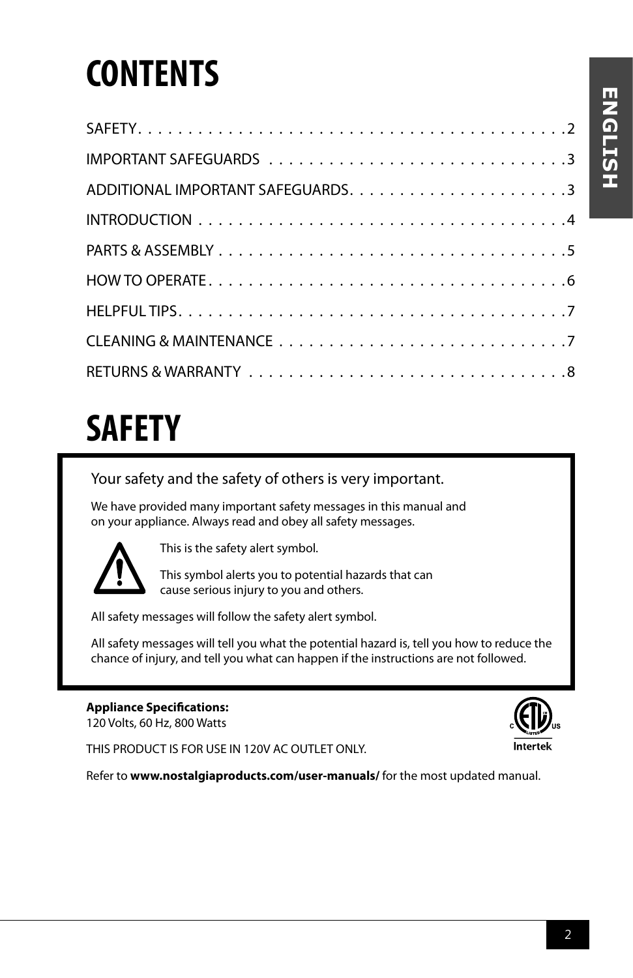# **CONTENTS**

## **SAFETY**

Your safety and the safety of others is very important.

We have provided many important safety messages in this manual and on your appliance. Always read and obey all safety messages.



This is the safety alert symbol.

This symbol alerts you to potential hazards that can cause serious injury to you and others.

All safety messages will follow the safety alert symbol.

All safety messages will tell you what the potential hazard is, tell you how to reduce the chance of injury, and tell you what can happen if the instructions are not followed.

### **Appliance Specifications:**

120 Volts, 60 Hz, 800 Watts

THIS PRODUCT IS FOR USE IN 120V AC OUTLET ONLY.

Refer to **www.nostalgiaproducts.com/user-manuals/** for the most updated manual.

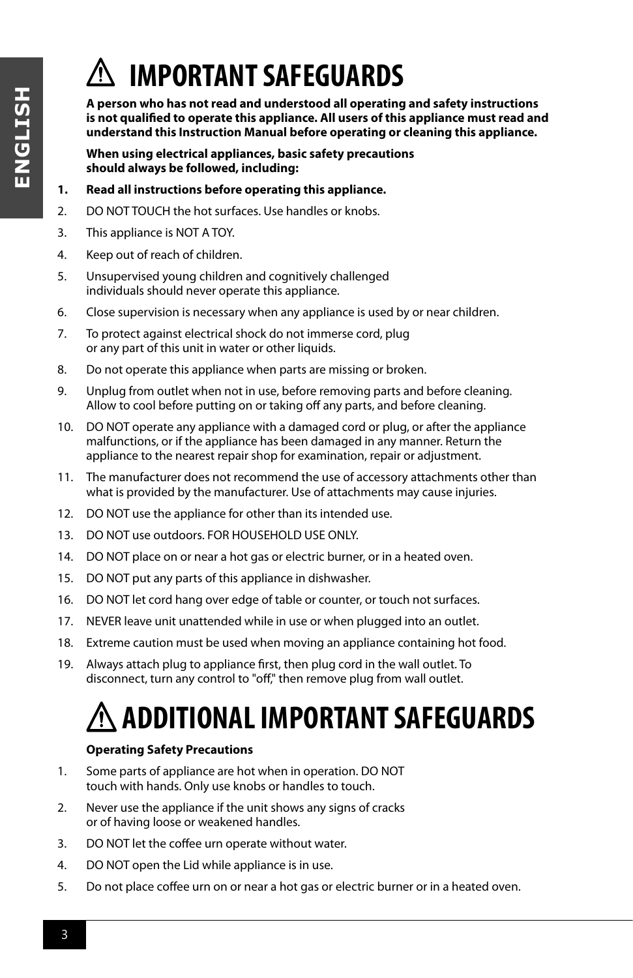### **IMPORTANT SAFEGUARDS**

**A person who has not read and understood all operating and safety instructions is not qualified to operate this appliance. All users of this appliance must read and understand this Instruction Manual before operating or cleaning this appliance.**

**When using electrical appliances, basic safety precautions should always be followed, including:**

- **1. Read all instructions before operating this appliance.**
- 2. DO NOT TOUCH the hot surfaces. Use handles or knobs.
- 3. This appliance is NOT A TOY.
- 4. Keep out of reach of children.
- 5. Unsupervised young children and cognitively challenged individuals should never operate this appliance.
- 6. Close supervision is necessary when any appliance is used by or near children.
- 7. To protect against electrical shock do not immerse cord, plug or any part of this unit in water or other liquids.
- 8. Do not operate this appliance when parts are missing or broken.
- 9. Unplug from outlet when not in use, before removing parts and before cleaning. Allow to cool before putting on or taking off any parts, and before cleaning.
- 10. DO NOT operate any appliance with a damaged cord or plug, or after the appliance malfunctions, or if the appliance has been damaged in any manner. Return the appliance to the nearest repair shop for examination, repair or adjustment.
- 11. The manufacturer does not recommend the use of accessory attachments other than what is provided by the manufacturer. Use of attachments may cause injuries.
- 12. DO NOT use the appliance for other than its intended use.
- 13. DO NOT use outdoors. FOR HOUSEHOLD USE ONLY.
- 14. DO NOT place on or near a hot gas or electric burner, or in a heated oven.
- 15. DO NOT put any parts of this appliance in dishwasher.
- 16. DO NOT let cord hang over edge of table or counter, or touch not surfaces.
- 17. NEVER leave unit unattended while in use or when plugged into an outlet.
- 18. Extreme caution must be used when moving an appliance containing hot food.
- 19. Always attach plug to appliance first, then plug cord in the wall outlet. To disconnect, turn any control to "off," then remove plug from wall outlet.

### **ADDITIONAL IMPORTANT SAFEGUARDS**

### **Operating Safety Precautions**

- 1. Some parts of appliance are hot when in operation. DO NOT touch with hands. Only use knobs or handles to touch.
- 2. Never use the appliance if the unit shows any signs of cracks or of having loose or weakened handles.
- 3. DO NOT let the coffee urn operate without water.
- 4. DO NOT open the Lid while appliance is in use.
- 5. Do not place coffee urn on or near a hot gas or electric burner or in a heated oven.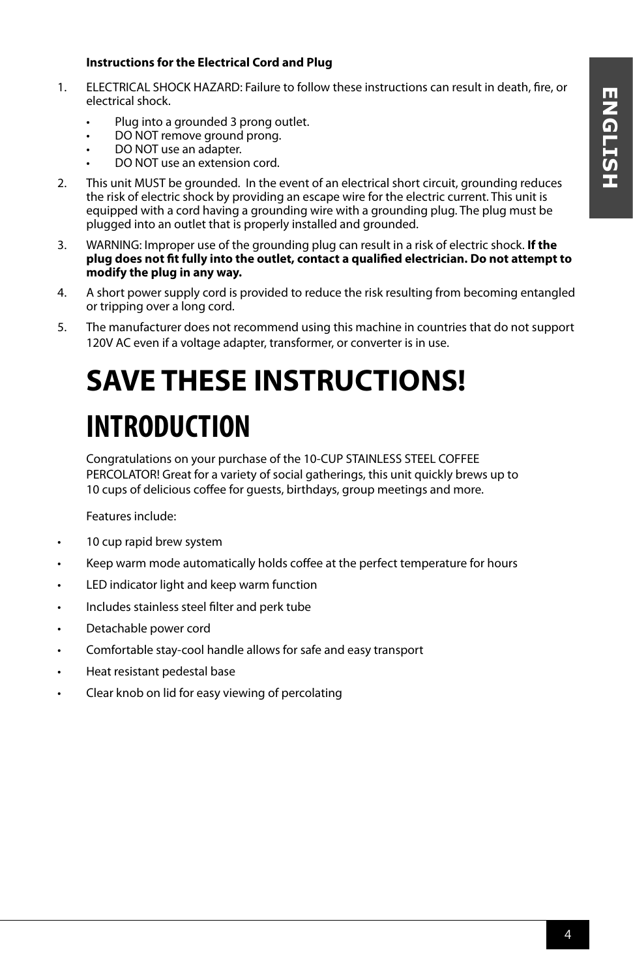### **Instructions for the Electrical Cord and Plug**

- 1. ELECTRICAL SHOCK HAZARD: Failure to follow these instructions can result in death, fire, or electrical shock.
	- Plug into a grounded 3 prong outlet.
	- DO NOT remove ground prong.
	- DO NOT use an adapter.
	- DO NOT use an extension cord.
- 2. This unit MUST be grounded. In the event of an electrical short circuit, grounding reduces the risk of electric shock by providing an escape wire for the electric current. This unit is equipped with a cord having a grounding wire with a grounding plug. The plug must be plugged into an outlet that is properly installed and grounded.
- 3. WARNING: Improper use of the grounding plug can result in a risk of electric shock. **If the plug does not fit fully into the outlet, contact a qualified electrician. Do not attempt to modify the plug in any way.**
- 4. A short power supply cord is provided to reduce the risk resulting from becoming entangled or tripping over a long cord.
- 5. The manufacturer does not recommend using this machine in countries that do not support 120V AC even if a voltage adapter, transformer, or converter is in use.

### **SAVE THESE INSTRUCTIONS! INTRODUCTION**

Congratulations on your purchase of the 10-CUP STAINLESS STEEL COFFEE PERCOLATOR! Great for a variety of social gatherings, this unit quickly brews up to 10 cups of delicious coffee for guests, birthdays, group meetings and more.

Features include:

- 10 cup rapid brew system
- Keep warm mode automatically holds coffee at the perfect temperature for hours
- LED indicator light and keep warm function
- Includes stainless steel filter and perk tube
- Detachable power cord
- Comfortable stay-cool handle allows for safe and easy transport
- Heat resistant pedestal base
- Clear knob on lid for easy viewing of percolating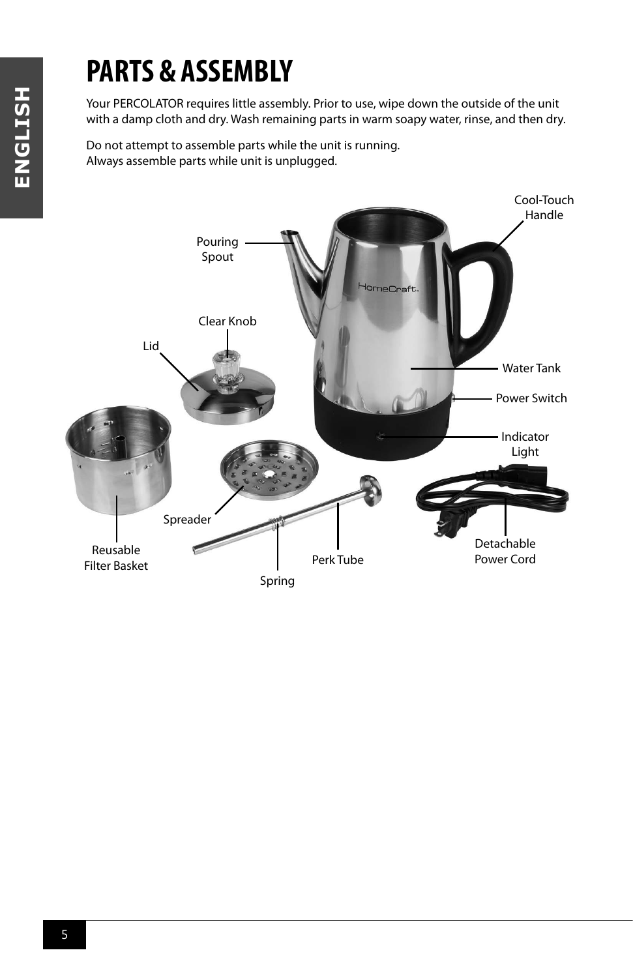# ENGLISH **ENGLISH**

### **PARTS & ASSEMBLY**

Your PERCOLATOR requires little assembly. Prior to use, wipe down the outside of the unit with a damp cloth and dry. Wash remaining parts in warm soapy water, rinse, and then dry.

Do not attempt to assemble parts while the unit is running. Always assemble parts while unit is unplugged.

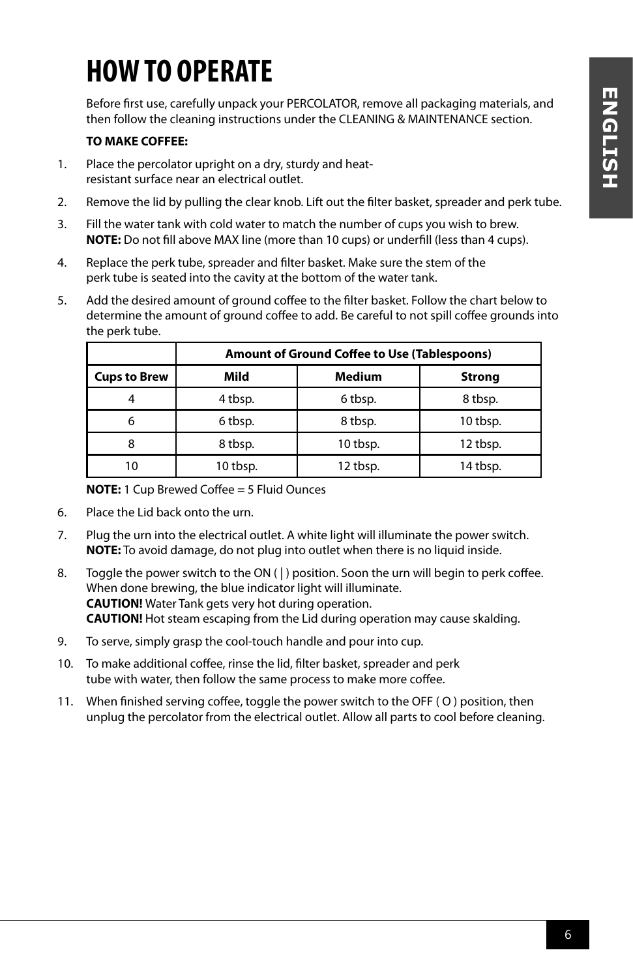### **HOW TO OPERATE**

Before first use, carefully unpack your PERCOLATOR, remove all packaging materials, and then follow the cleaning instructions under the CLEANING & MAINTENANCE section.

#### **TO MAKE COFFEE:**

- 1. Place the percolator upright on a dry, sturdy and heatresistant surface near an electrical outlet.
- 2. Remove the lid by pulling the clear knob. Lift out the filter basket, spreader and perk tube.
- 3. Fill the water tank with cold water to match the number of cups you wish to brew. **NOTE:** Do not fill above MAX line (more than 10 cups) or underfill (less than 4 cups).
- 4. Replace the perk tube, spreader and filter basket. Make sure the stem of the perk tube is seated into the cavity at the bottom of the water tank.
- 5. Add the desired amount of ground coffee to the filter basket. Follow the chart below to determine the amount of ground coffee to add. Be careful to not spill coffee grounds into the perk tube.

|                     | <b>Amount of Ground Coffee to Use (Tablespoons)</b> |               |               |  |
|---------------------|-----------------------------------------------------|---------------|---------------|--|
| <b>Cups to Brew</b> | Mild                                                | <b>Medium</b> | <b>Strong</b> |  |
|                     | 4 tbsp.                                             | 6 tbsp.       | 8 tbsp.       |  |
| 6                   | 6 tbsp.                                             | 8 tbsp.       | 10 tbsp.      |  |
| 8                   | 8 tbsp.                                             | 10 tbsp.      | 12 tbsp.      |  |
| 10                  | 10 tbsp.                                            | 12 tbsp.      | 14 tbsp.      |  |

**NOTE:** 1 Cup Brewed Coffee = 5 Fluid Ounces

- 6. Place the Lid back onto the urn.
- 7. Plug the urn into the electrical outlet. A white light will illuminate the power switch. **NOTE:** To avoid damage, do not plug into outlet when there is no liquid inside.
- 8. Toggle the power switch to the ON ( | ) position. Soon the urn will begin to perk coffee. When done brewing, the blue indicator light will illuminate. **CAUTION!** Water Tank gets very hot during operation. **CAUTION!** Hot steam escaping from the Lid during operation may cause skalding.
- 9. To serve, simply grasp the cool-touch handle and pour into cup.
- 10. To make additional coffee, rinse the lid, filter basket, spreader and perk tube with water, then follow the same process to make more coffee.
- 11. When finished serving coffee, toggle the power switch to the OFF ( O ) position, then unplug the percolator from the electrical outlet. Allow all parts to cool before cleaning.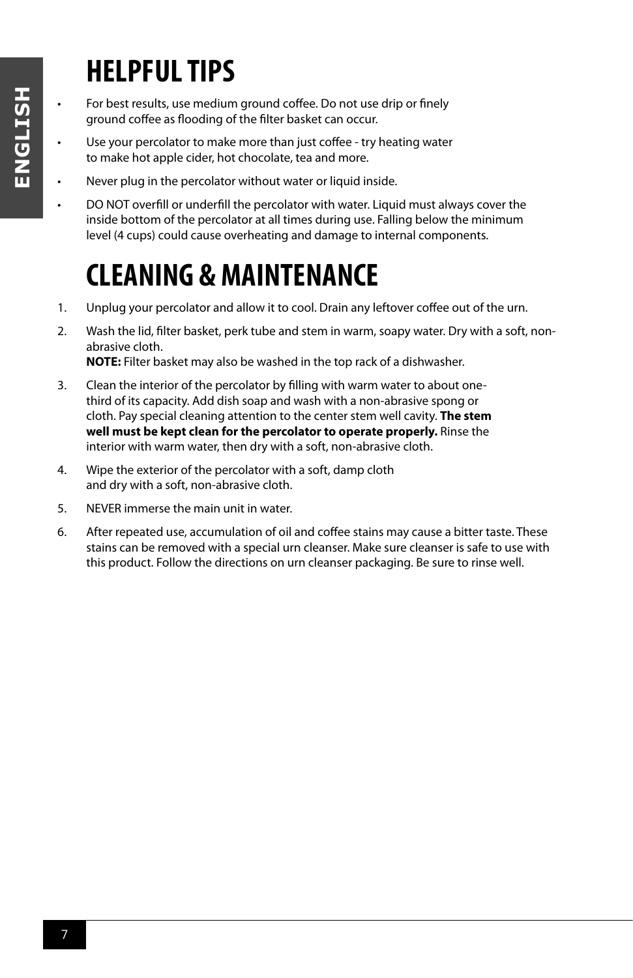### **HELPFUL TIPS**

- For best results, use medium ground coffee. Do not use drip or finely ground coffee as flooding of the filter basket can occur.
- Use your percolator to make more than just coffee try heating water to make hot apple cider, hot chocolate, tea and more.
- Never plug in the percolator without water or liquid inside.
- DO NOT overfill or underfill the percolator with water. Liquid must always cover the inside bottom of the percolator at all times during use. Falling below the minimum level (4 cups) could cause overheating and damage to internal components.

### **CLEANING & MAINTENANCE**

- 1. Unplug your percolator and allow it to cool. Drain any leftover coffee out of the urn.
- 2. Wash the lid, filter basket, perk tube and stem in warm, soapy water. Dry with a soft, nonabrasive cloth.

**NOTE:** Filter basket may also be washed in the top rack of a dishwasher.

- 3. Clean the interior of the percolator by filling with warm water to about onethird of its capacity. Add dish soap and wash with a non-abrasive spong or cloth. Pay special cleaning attention to the center stem well cavity. **The stem well must be kept clean for the percolator to operate properly.** Rinse the interior with warm water, then dry with a soft, non-abrasive cloth.
- 4. Wipe the exterior of the percolator with a soft, damp cloth and dry with a soft, non-abrasive cloth.
- 5. NEVER immerse the main unit in water.
- 6. After repeated use, accumulation of oil and coffee stains may cause a bitter taste. These stains can be removed with a special urn cleanser. Make sure cleanser is safe to use with this product. Follow the directions on urn cleanser packaging. Be sure to rinse well.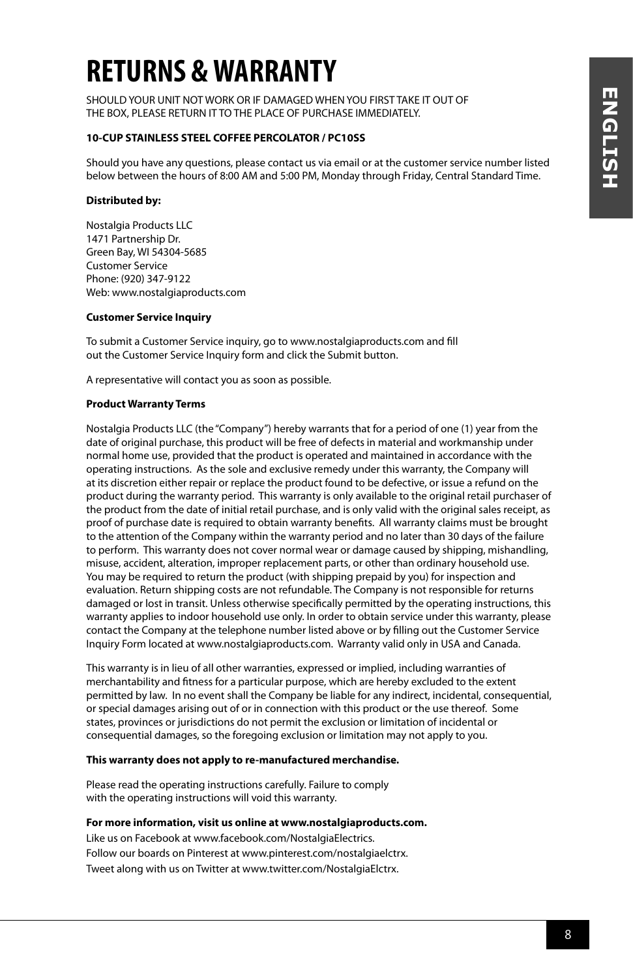### **RETURNS & WARRANTY**

SHOULD YOUR UNIT NOT WORK OR IF DAMAGED WHEN YOU FIRST TAKE IT OUT OF THE BOX, PLEASE RETURN IT TO THE PLACE OF PURCHASE IMMEDIATELY.

#### **10-CUP STAINLESS STEEL COFFEE PERCOLATOR / PC10SS**

Should you have any questions, please contact us via email or at the customer service number listed below between the hours of 8:00 AM and 5:00 PM, Monday through Friday, Central Standard Time.

#### **Distributed by:**

Nostalgia Products LLC 1471 Partnership Dr. Green Bay, WI 54304-5685 Customer Service Phone: (920) 347-9122 Web: www.nostalgiaproducts.com

#### **Customer Service Inquiry**

To submit a Customer Service inquiry, go to www.nostalgiaproducts.com and fill out the Customer Service Inquiry form and click the Submit button.

A representative will contact you as soon as possible.

#### **Product Warranty Terms**

Nostalgia Products LLC (the "Company") hereby warrants that for a period of one (1) year from the date of original purchase, this product will be free of defects in material and workmanship under normal home use, provided that the product is operated and maintained in accordance with the operating instructions. As the sole and exclusive remedy under this warranty, the Company will at its discretion either repair or replace the product found to be defective, or issue a refund on the product during the warranty period. This warranty is only available to the original retail purchaser of the product from the date of initial retail purchase, and is only valid with the original sales receipt, as proof of purchase date is required to obtain warranty benefits. All warranty claims must be brought to the attention of the Company within the warranty period and no later than 30 days of the failure to perform. This warranty does not cover normal wear or damage caused by shipping, mishandling, misuse, accident, alteration, improper replacement parts, or other than ordinary household use. You may be required to return the product (with shipping prepaid by you) for inspection and evaluation. Return shipping costs are not refundable. The Company is not responsible for returns damaged or lost in transit. Unless otherwise specifically permitted by the operating instructions, this warranty applies to indoor household use only. In order to obtain service under this warranty, please contact the Company at the telephone number listed above or by filling out the Customer Service Inquiry Form located at www.nostalgiaproducts.com. Warranty valid only in USA and Canada.

This warranty is in lieu of all other warranties, expressed or implied, including warranties of merchantability and fitness for a particular purpose, which are hereby excluded to the extent permitted by law. In no event shall the Company be liable for any indirect, incidental, consequential, or special damages arising out of or in connection with this product or the use thereof. Some states, provinces or jurisdictions do not permit the exclusion or limitation of incidental or consequential damages, so the foregoing exclusion or limitation may not apply to you.

#### **This warranty does not apply to re-manufactured merchandise.**

Please read the operating instructions carefully. Failure to comply with the operating instructions will void this warranty.

#### **For more information, visit us online at www.nostalgiaproducts.com.**

Like us on Facebook at www.facebook.com/NostalgiaElectrics. Follow our boards on Pinterest at www.pinterest.com/nostalgiaelctrx. Tweet along with us on Twitter at www.twitter.com/NostalgiaElctrx.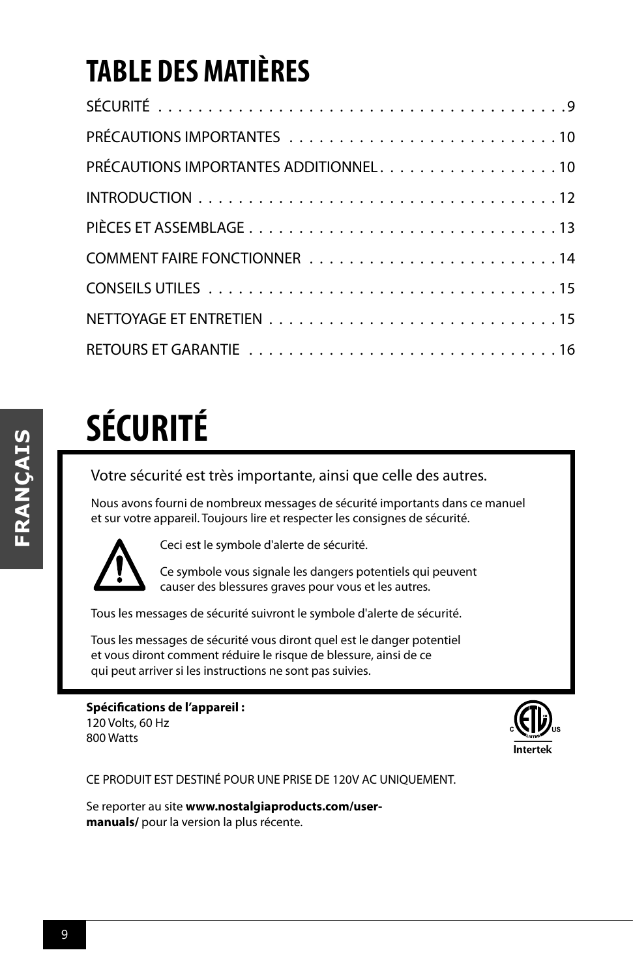### **TABLE DES MATIÈRES**

| PRÉCAUTIONS IMPORTANTES ADDITIONNEL. 10 |
|-----------------------------------------|
|                                         |
|                                         |
|                                         |
|                                         |
|                                         |
|                                         |

# **SÉCURITÉ**

Votre sécurité est très importante, ainsi que celle des autres.

Nous avons fourni de nombreux messages de sécurité importants dans ce manuel et sur votre appareil. Toujours lire et respecter les consignes de sécurité.



Ceci est le symbole d'alerte de sécurité.

Ce symbole vous signale les dangers potentiels qui peuvent causer des blessures graves pour vous et les autres.

Tous les messages de sécurité suivront le symbole d'alerte de sécurité.

Tous les messages de sécurité vous diront quel est le danger potentiel et vous diront comment réduire le risque de blessure, ainsi de ce qui peut arriver si les instructions ne sont pas suivies.

**Spécifications de l'appareil :** 120 Volts, 60 Hz 800 Watts



CE PRODUIT EST DESTINÉ POUR UNE PRISE DE 120V AC UNIQUEMENT.

Se reporter au site **www.nostalgiaproducts.com/usermanuals/** pour la version la plus récente.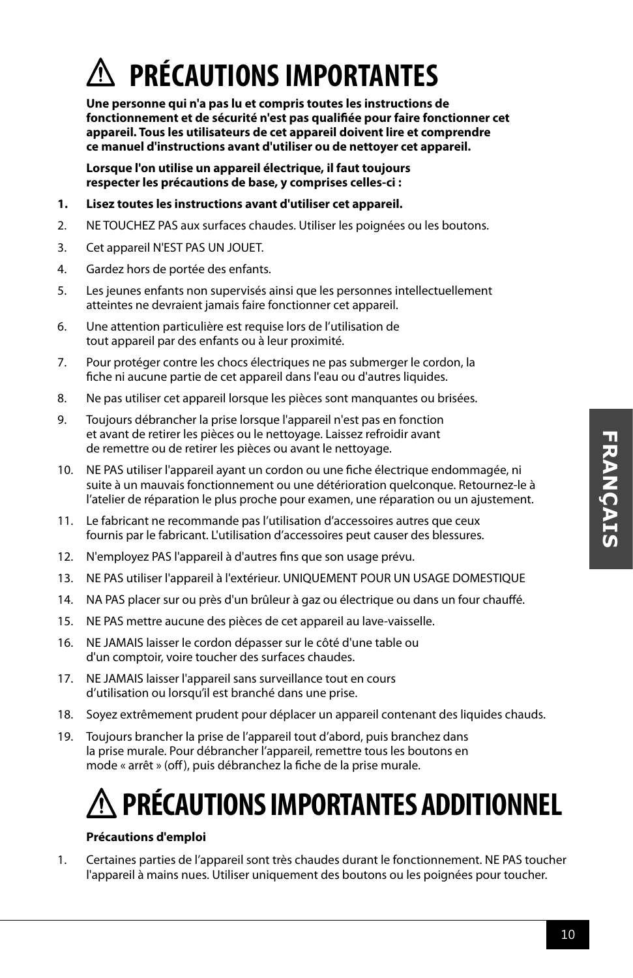### **PRÉCAUTIONS IMPORTANTES**

**Une personne qui n'a pas lu et compris toutes les instructions de fonctionnement et de sécurité n'est pas qualifiée pour faire fonctionner cet appareil. Tous les utilisateurs de cet appareil doivent lire et comprendre ce manuel d'instructions avant d'utiliser ou de nettoyer cet appareil.**

**Lorsque l'on utilise un appareil électrique, il faut toujours respecter les précautions de base, y comprises celles-ci :**

- **1. Lisez toutes les instructions avant d'utiliser cet appareil.**
- 2. NE TOUCHEZ PAS aux surfaces chaudes. Utiliser les poignées ou les boutons.
- 3. Cet appareil N'EST PAS UN JOUET.
- 4. Gardez hors de portée des enfants.
- 5. Les jeunes enfants non supervisés ainsi que les personnes intellectuellement atteintes ne devraient jamais faire fonctionner cet appareil.
- 6. Une attention particulière est requise lors de l'utilisation de tout appareil par des enfants ou à leur proximité.
- 7. Pour protéger contre les chocs électriques ne pas submerger le cordon, la fiche ni aucune partie de cet appareil dans l'eau ou d'autres liquides.
- 8. Ne pas utiliser cet appareil lorsque les pièces sont manquantes ou brisées.
- 9. Toujours débrancher la prise lorsque l'appareil n'est pas en fonction et avant de retirer les pièces ou le nettoyage. Laissez refroidir avant de remettre ou de retirer les pièces ou avant le nettoyage.
- 10. NE PAS utiliser l'appareil ayant un cordon ou une fiche électrique endommagée, ni suite à un mauvais fonctionnement ou une détérioration quelconque. Retournez-le à l'atelier de réparation le plus proche pour examen, une réparation ou un ajustement.
- 11. Le fabricant ne recommande pas l'utilisation d'accessoires autres que ceux fournis par le fabricant. L'utilisation d'accessoires peut causer des blessures.
- 12. N'employez PAS l'appareil à d'autres fins que son usage prévu.
- 13. NE PAS utiliser l'appareil à l'extérieur. UNIQUEMENT POUR UN USAGE DOMESTIQUE
- 14. NA PAS placer sur ou près d'un brûleur à gaz ou électrique ou dans un four chauffé.
- 15. NE PAS mettre aucune des pièces de cet appareil au lave-vaisselle.
- 16. NE JAMAIS laisser le cordon dépasser sur le côté d'une table ou d'un comptoir, voire toucher des surfaces chaudes.
- 17. NE JAMAIS laisser l'appareil sans surveillance tout en cours d'utilisation ou lorsqu'il est branché dans une prise.
- 18. Soyez extrêmement prudent pour déplacer un appareil contenant des liquides chauds.
- 19. Toujours brancher la prise de l'appareil tout d'abord, puis branchez dans la prise murale. Pour débrancher l'appareil, remettre tous les boutons en mode « arrêt » (off), puis débranchez la fiche de la prise murale.

### **PRÉCAUTIONS IMPORTANTES ADDITIONNEL**

### **Précautions d'emploi**

1. Certaines parties de l'appareil sont très chaudes durant le fonctionnement. NE PAS toucher l'appareil à mains nues. Utiliser uniquement des boutons ou les poignées pour toucher.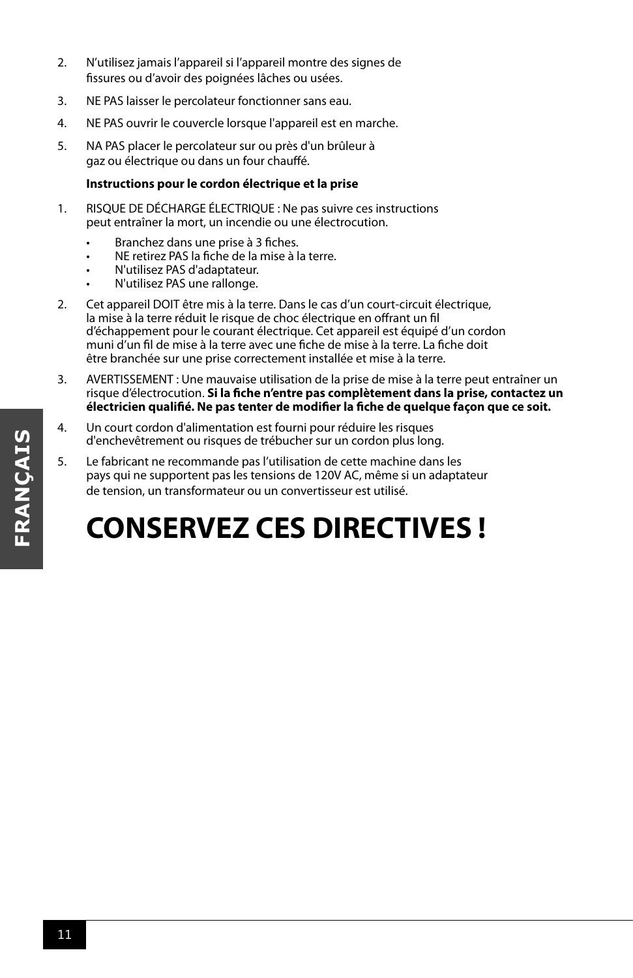- 2. N'utilisez jamais l'appareil si l'appareil montre des signes de fissures ou d'avoir des poignées lâches ou usées.
- 3. NE PAS laisser le percolateur fonctionner sans eau.
- 4. NE PAS ouvrir le couvercle lorsque l'appareil est en marche.
- 5. NA PAS placer le percolateur sur ou près d'un brûleur à gaz ou électrique ou dans un four chauffé.

### **Instructions pour le cordon électrique et la prise**

- 1. RISQUE DE DÉCHARGE ÉLECTRIQUE : Ne pas suivre ces instructions peut entraîner la mort, un incendie ou une électrocution.
	- Branchez dans une prise à 3 fiches.
	- NE retirez PAS la fiche de la mise à la terre.
	- N'utilisez PAS d'adaptateur.
	- N'utilisez PAS une rallonge.
- 2. Cet appareil DOIT être mis à la terre. Dans le cas d'un court-circuit électrique, la mise à la terre réduit le risque de choc électrique en offrant un fil d'échappement pour le courant électrique. Cet appareil est équipé d'un cordon muni d'un fil de mise à la terre avec une fiche de mise à la terre. La fiche doit être branchée sur une prise correctement installée et mise à la terre.
- 3. AVERTISSEMENT : Une mauvaise utilisation de la prise de mise à la terre peut entraîner un risque d'électrocution. **Si la fiche n'entre pas complètement dans la prise, contactez un électricien qualifié. Ne pas tenter de modifier la fiche de quelque façon que ce soit.**
- 4. Un court cordon d'alimentation est fourni pour réduire les risques d'enchevêtrement ou risques de trébucher sur un cordon plus long.
- 5. Le fabricant ne recommande pas l'utilisation de cette machine dans les pays qui ne supportent pas les tensions de 120V AC, même si un adaptateur de tension, un transformateur ou un convertisseur est utilisé.

### **CONSERVEZ CES DIRECTIVES !**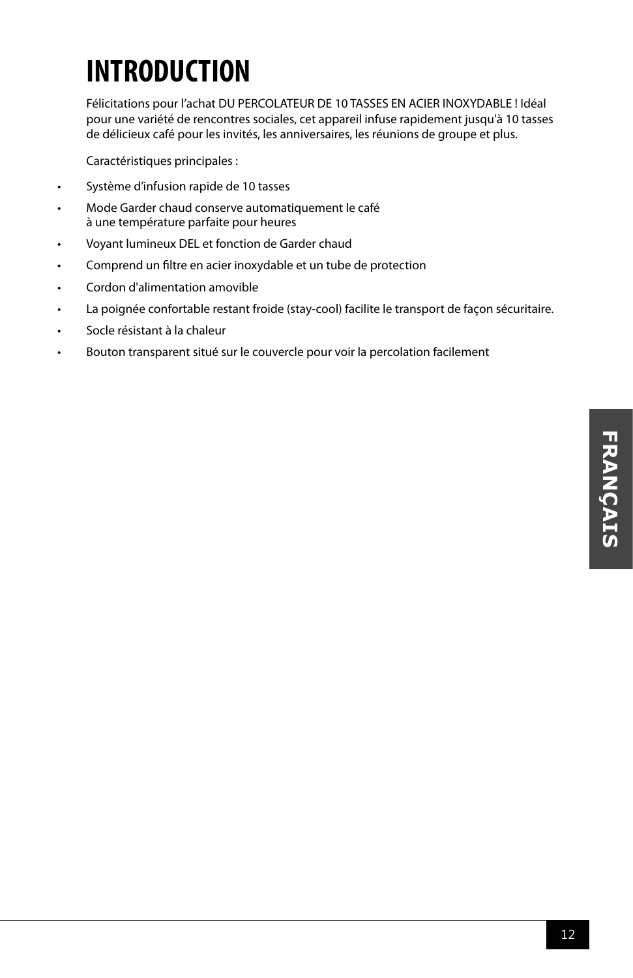# **FRANÇAIS FRANÇAIS**

### **INTRODUCTION**

Félicitations pour l'achat DU PERCOLATEUR DE 10 TASSES EN ACIER INOXYDABLE ! Idéal pour une variété de rencontres sociales, cet appareil infuse rapidement jusqu'à 10 tasses de délicieux café pour les invités, les anniversaires, les réunions de groupe et plus.

Caractéristiques principales :

- Système d'infusion rapide de 10 tasses
- Mode Garder chaud conserve automatiquement le café à une température parfaite pour heures
- Voyant lumineux DEL et fonction de Garder chaud
- Comprend un filtre en acier inoxydable et un tube de protection
- Cordon d'alimentation amovible
- La poignée confortable restant froide (stay-cool) facilite le transport de façon sécuritaire.
- Socle résistant à la chaleur
- Bouton transparent situé sur le couvercle pour voir la percolation facilement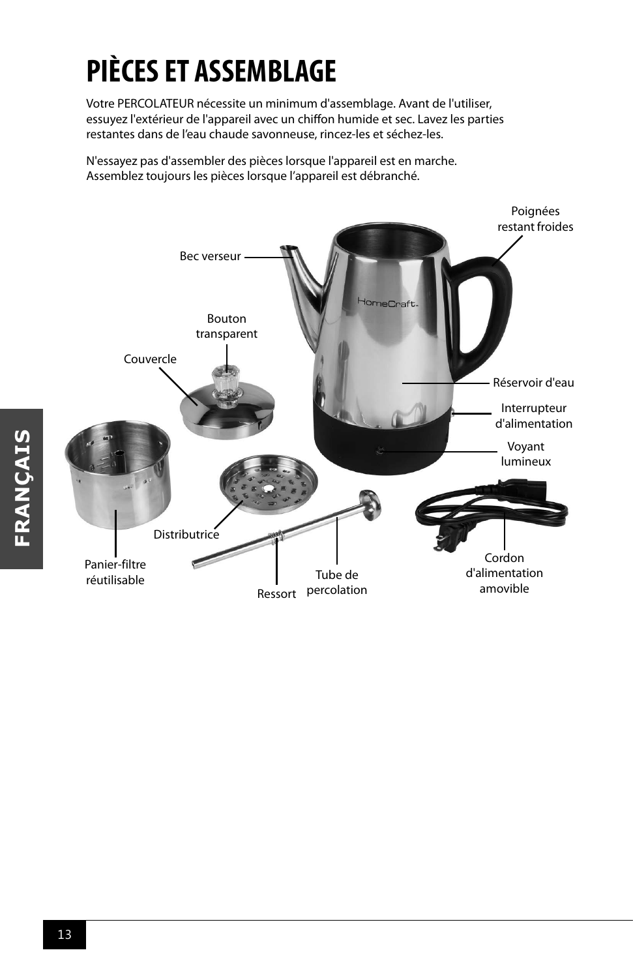## **PIÈCES ET ASSEMBLAGE**

Votre PERCOLATEUR nécessite un minimum d'assemblage. Avant de l'utiliser, essuyez l'extérieur de l'appareil avec un chiffon humide et sec. Lavez les parties restantes dans de l'eau chaude savonneuse, rincez-les et séchez-les.

N'essayez pas d'assembler des pièces lorsque l'appareil est en marche. Assemblez toujours les pièces lorsque l'appareil est débranché.

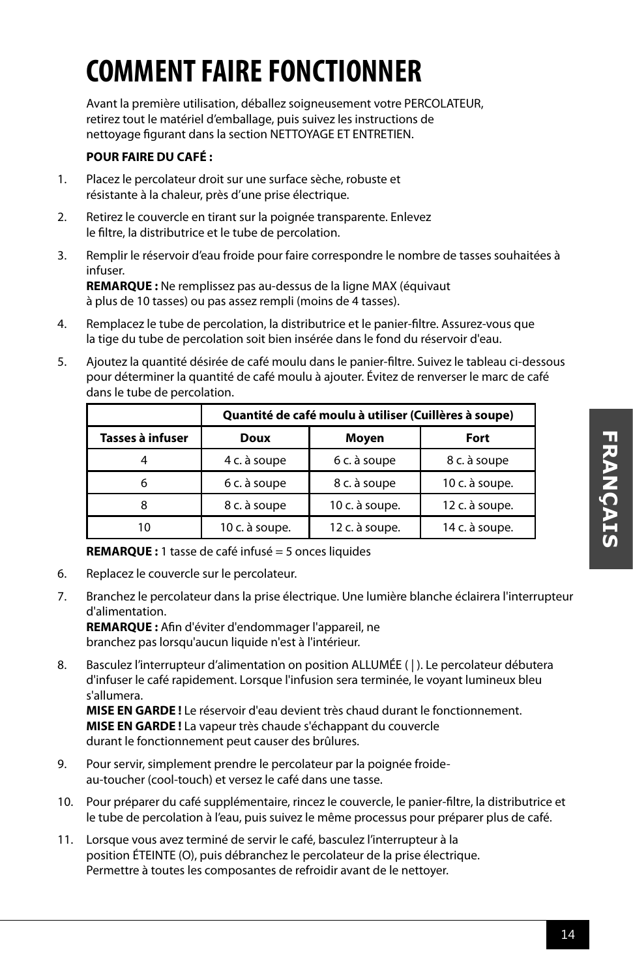### **COMMENT FAIRE FONCTIONNER**

Avant la première utilisation, déballez soigneusement votre PERCOLATEUR, retirez tout le matériel d'emballage, puis suivez les instructions de nettoyage figurant dans la section NETTOYAGE ET ENTRETIEN.

### **POUR FAIRE DU CAFÉ :**

- 1. Placez le percolateur droit sur une surface sèche, robuste et résistante à la chaleur, près d'une prise électrique.
- 2. Retirez le couvercle en tirant sur la poignée transparente. Enlevez le filtre, la distributrice et le tube de percolation.
- 3. Remplir le réservoir d'eau froide pour faire correspondre le nombre de tasses souhaitées à infuser.

**REMARQUE :** Ne remplissez pas au-dessus de la ligne MAX (équivaut à plus de 10 tasses) ou pas assez rempli (moins de 4 tasses).

- 4. Remplacez le tube de percolation, la distributrice et le panier-filtre. Assurez-vous que la tige du tube de percolation soit bien insérée dans le fond du réservoir d'eau.
- 5. Ajoutez la quantité désirée de café moulu dans le panier-filtre. Suivez le tableau ci-dessous pour déterminer la quantité de café moulu à ajouter. Évitez de renverser le marc de café dans le tube de percolation.

|                  | Quantité de café moulu à utiliser (Cuillères à soupe) |                |                |  |
|------------------|-------------------------------------------------------|----------------|----------------|--|
| Tasses à infuser | Doux                                                  | Moyen          | Fort           |  |
|                  | 4 c. à soupe                                          | 6 c. à soupe   | 8 c. à soupe   |  |
| 6                | 6 c. à soupe                                          | 8 c. à soupe   | 10 c. à soupe. |  |
| 8                | 8 c. à soupe                                          | 10 c. à soupe. | 12 c. à soupe. |  |
| 10               | 10 c. à soupe.                                        | 12 c. à soupe. | 14 c. à soupe. |  |

**REMARQUE :** 1 tasse de café infusé = 5 onces liquides

- 6. Replacez le couvercle sur le percolateur.
- 7. Branchez le percolateur dans la prise électrique. Une lumière blanche éclairera l'interrupteur d'alimentation.

**REMARQUE :** Afin d'éviter d'endommager l'appareil, ne branchez pas lorsqu'aucun liquide n'est à l'intérieur.

8. Basculez l'interrupteur d'alimentation on position ALLUMÉE ( | ). Le percolateur débutera d'infuser le café rapidement. Lorsque l'infusion sera terminée, le voyant lumineux bleu s'allumera.

**MISE EN GARDE !** Le réservoir d'eau devient très chaud durant le fonctionnement. **MISE EN GARDE !** La vapeur très chaude s'échappant du couvercle durant le fonctionnement peut causer des brûlures.

- 9. Pour servir, simplement prendre le percolateur par la poignée froideau-toucher (cool-touch) et versez le café dans une tasse.
- 10. Pour préparer du café supplémentaire, rincez le couvercle, le panier-filtre, la distributrice et le tube de percolation à l'eau, puis suivez le même processus pour préparer plus de café.
- 11. Lorsque vous avez terminé de servir le café, basculez l'interrupteur à la position ÉTEINTE (O), puis débranchez le percolateur de la prise électrique. Permettre à toutes les composantes de refroidir avant de le nettoyer.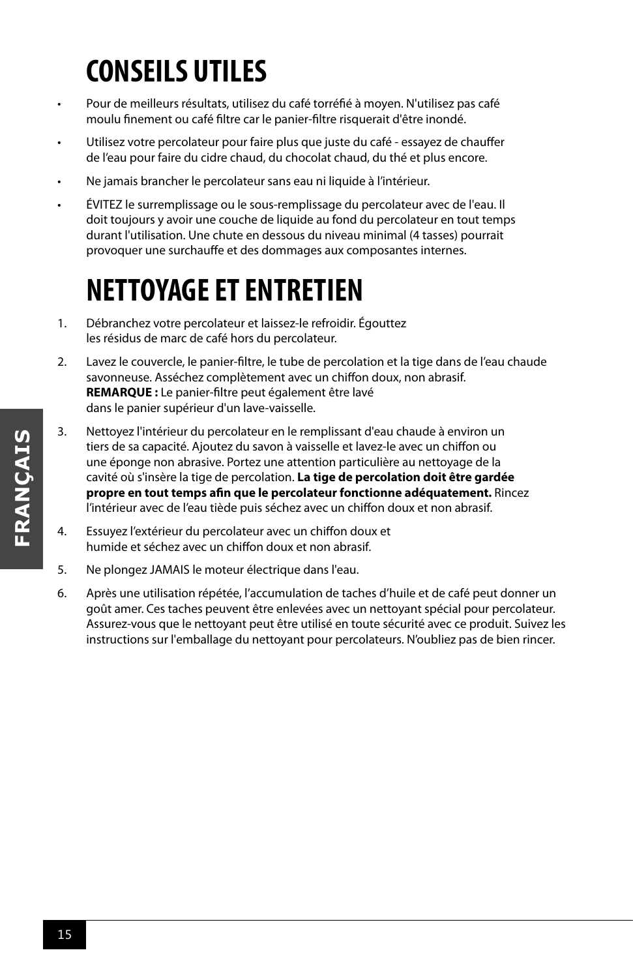### **CONSEILS UTILES**

- Pour de meilleurs résultats, utilisez du café torréfié à moyen. N'utilisez pas café moulu finement ou café filtre car le panier-filtre risquerait d'être inondé.
- Utilisez votre percolateur pour faire plus que juste du café essayez de chauffer de l'eau pour faire du cidre chaud, du chocolat chaud, du thé et plus encore.
- Ne jamais brancher le percolateur sans eau ni liquide à l'intérieur.
- ÉVITEZ le surremplissage ou le sous-remplissage du percolateur avec de l'eau. Il doit toujours y avoir une couche de liquide au fond du percolateur en tout temps durant l'utilisation. Une chute en dessous du niveau minimal (4 tasses) pourrait provoquer une surchauffe et des dommages aux composantes internes.

### **NETTOYAGE ET ENTRETIEN**

- 1. Débranchez votre percolateur et laissez-le refroidir. Égouttez les résidus de marc de café hors du percolateur.
- 2. Lavez le couvercle, le panier-filtre, le tube de percolation et la tige dans de l'eau chaude savonneuse. Asséchez complètement avec un chiffon doux, non abrasif. **REMARQUE :** Le panier-filtre peut également être lavé dans le panier supérieur d'un lave-vaisselle.
- 3. Nettoyez l'intérieur du percolateur en le remplissant d'eau chaude à environ un tiers de sa capacité. Ajoutez du savon à vaisselle et lavez-le avec un chiffon ou une éponge non abrasive. Portez une attention particulière au nettoyage de la cavité où s'insère la tige de percolation. **La tige de percolation doit être gardée propre en tout temps afin que le percolateur fonctionne adéquatement.** Rincez l'intérieur avec de l'eau tiède puis séchez avec un chiffon doux et non abrasif.
- 4. Essuyez l'extérieur du percolateur avec un chiffon doux et humide et séchez avec un chiffon doux et non abrasif.
- 5. Ne plongez JAMAIS le moteur électrique dans l'eau.
- 6. Après une utilisation répétée, l'accumulation de taches d'huile et de café peut donner un goût amer. Ces taches peuvent être enlevées avec un nettoyant spécial pour percolateur. Assurez-vous que le nettoyant peut être utilisé en toute sécurité avec ce produit. Suivez les instructions sur l'emballage du nettoyant pour percolateurs. N'oubliez pas de bien rincer.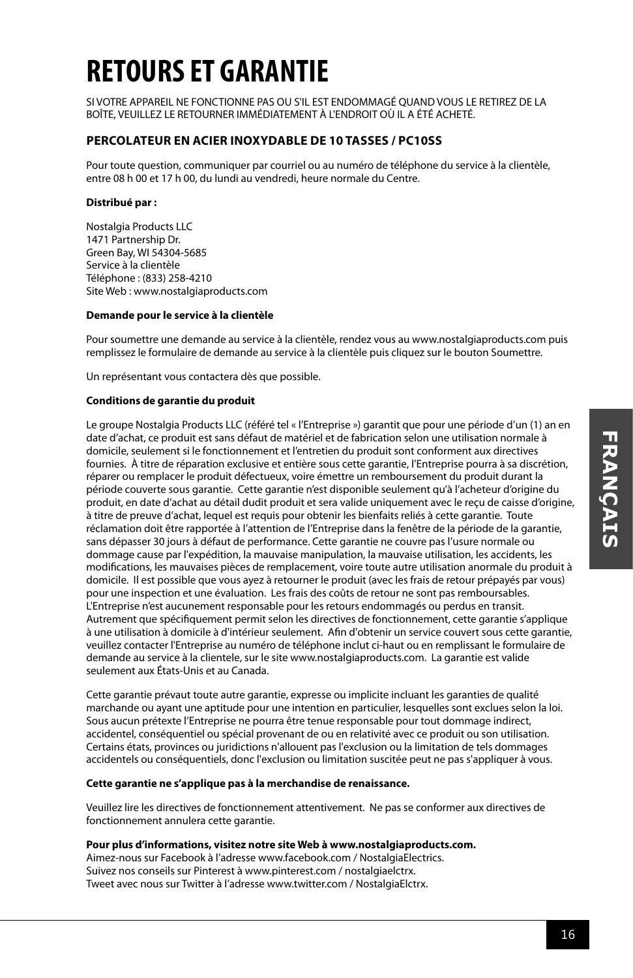### **RETOURS ET GARANTIE**

SI VOTRE APPAREIL NE FONCTIONNE PAS OU S'IL EST ENDOMMAGÉ QUAND VOUS LE RETIREZ DE LA BOÎTE, VEUILLEZ LE RETOURNER IMMÉDIATEMENT À L'ENDROIT OÙ IL A ÉTÉ ACHETÉ.

#### **PERCOLATEUR EN ACIER INOXYDABLE DE 10 TASSES / PC10SS**

Pour toute question, communiquer par courriel ou au numéro de téléphone du service à la clientèle, entre 08 h 00 et 17 h 00, du lundi au vendredi, heure normale du Centre.

#### **Distribué par :**

Nostalgia Products LLC 1471 Partnership Dr. Green Bay, WI 54304-5685 Service à la clientèle Téléphone : (833) 258-4210 Site Web : www.nostalgiaproducts.com

#### **Demande pour le service à la clientèle**

Pour soumettre une demande au service à la clientèle, rendez vous au www.nostalgiaproducts.com puis remplissez le formulaire de demande au service à la clientèle puis cliquez sur le bouton Soumettre.

Un représentant vous contactera dès que possible.

#### **Conditions de garantie du produit**

Le groupe Nostalgia Products LLC (référé tel « l'Entreprise ») garantit que pour une période d'un (1) an en date d'achat, ce produit est sans défaut de matériel et de fabrication selon une utilisation normale à domicile, seulement si le fonctionnement et l'entretien du produit sont conforment aux directives fournies. À titre de réparation exclusive et entière sous cette garantie, l'Entreprise pourra à sa discrétion, réparer ou remplacer le produit défectueux, voire émettre un remboursement du produit durant la période couverte sous garantie. Cette garantie n'est disponible seulement qu'à l'acheteur d'origine du produit, en date d'achat au détail dudit produit et sera valide uniquement avec le reçu de caisse d'origine, à titre de preuve d'achat, lequel est requis pour obtenir les bienfaits reliés à cette garantie. Toute réclamation doit être rapportée à l'attention de l'Entreprise dans la fenêtre de la période de la garantie, sans dépasser 30 jours à défaut de performance. Cette garantie ne couvre pas l'usure normale ou dommage cause par l'expédition, la mauvaise manipulation, la mauvaise utilisation, les accidents, les modifications, les mauvaises pièces de remplacement, voire toute autre utilisation anormale du produit à domicile. Il est possible que vous ayez à retourner le produit (avec les frais de retour prépayés par vous) pour une inspection et une évaluation. Les frais des coûts de retour ne sont pas remboursables. L'Entreprise n'est aucunement responsable pour les retours endommagés ou perdus en transit. Autrement que spécifiquement permit selon les directives de fonctionnement, cette garantie s'applique à une utilisation à domicile à d'intérieur seulement. Afin d'obtenir un service couvert sous cette garantie, veuillez contacter l'Entreprise au numéro de téléphone inclut ci-haut ou en remplissant le formulaire de demande au service à la clientele, sur le site www.nostalgiaproducts.com. La garantie est valide seulement aux États-Unis et au Canada.

Cette garantie prévaut toute autre garantie, expresse ou implicite incluant les garanties de qualité marchande ou ayant une aptitude pour une intention en particulier, lesquelles sont exclues selon la loi. Sous aucun prétexte l'Entreprise ne pourra être tenue responsable pour tout dommage indirect, accidentel, conséquentiel ou spécial provenant de ou en relativité avec ce produit ou son utilisation. Certains états, provinces ou juridictions n'allouent pas l'exclusion ou la limitation de tels dommages accidentels ou conséquentiels, donc l'exclusion ou limitation suscitée peut ne pas s'appliquer à vous.

#### **Cette garantie ne s'applique pas à la merchandise de renaissance.**

Veuillez lire les directives de fonctionnement attentivement. Ne pas se conformer aux directives de fonctionnement annulera cette garantie.

#### **Pour plus d'informations, visitez notre site Web à www.nostalgiaproducts.com.**

Aimez-nous sur Facebook à l'adresse www.facebook.com / NostalgiaElectrics. Suivez nos conseils sur Pinterest à www.pinterest.com / nostalgiaelctrx. Tweet avec nous sur Twitter à l'adresse www.twitter.com / NostalgiaElctrx.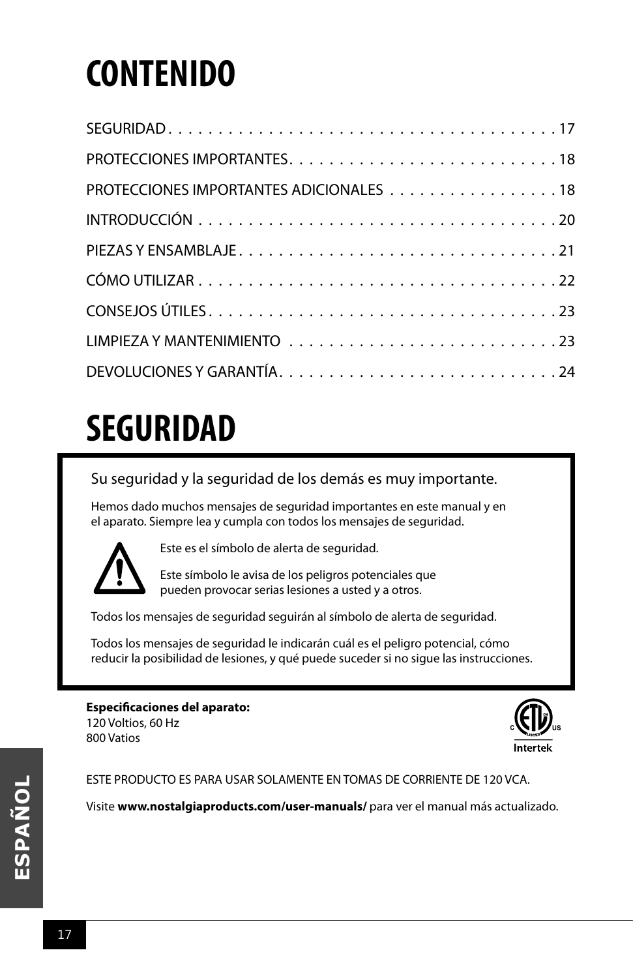# **CONTENIDO**

| PROTECCIONES IMPORTANTES ADICIONALES 18 |
|-----------------------------------------|
|                                         |
|                                         |
|                                         |
|                                         |
|                                         |
|                                         |

## **SEGURIDAD**

Su seguridad y la seguridad de los demás es muy importante.

Hemos dado muchos mensajes de seguridad importantes en este manual y en el aparato. Siempre lea y cumpla con todos los mensajes de seguridad.



800 Vatios

Este es el símbolo de alerta de seguridad.

Este símbolo le avisa de los peligros potenciales que pueden provocar serias lesiones a usted y a otros.

Todos los mensajes de seguridad seguirán al símbolo de alerta de seguridad.

Todos los mensajes de seguridad le indicarán cuál es el peligro potencial, cómo reducir la posibilidad de lesiones, y qué puede suceder si no sigue las instrucciones.

#### **Especificaciones del aparato:** 120 Voltios, 60 Hz

ESTE PRODUCTO ES PARA USAR SOLAMENTE EN TOMAS DE CORRIENTE DE 120 VCA.

Visite **www.nostalgiaproducts.com/user-manuals/** para ver el manual más actualizado.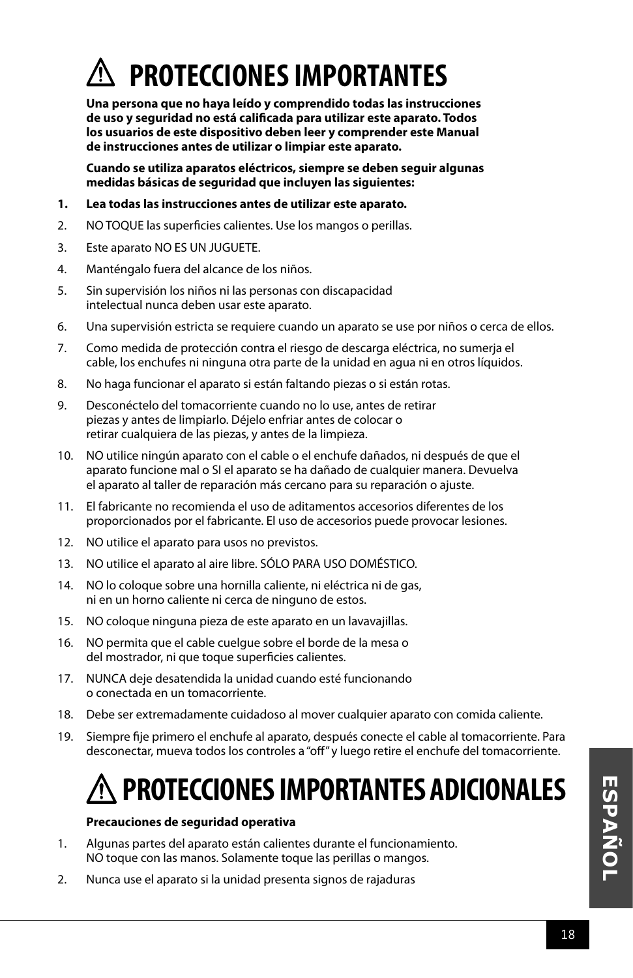

**Una persona que no haya leído y comprendido todas las instrucciones de uso y seguridad no está calificada para utilizar este aparato. Todos los usuarios de este dispositivo deben leer y comprender este Manual de instrucciones antes de utilizar o limpiar este aparato.**

**Cuando se utiliza aparatos eléctricos, siempre se deben seguir algunas medidas básicas de seguridad que incluyen las siguientes:**

- **1. Lea todas las instrucciones antes de utilizar este aparato.**
- 2. NO TOQUE las superficies calientes. Use los mangos o perillas.
- 3. Este aparato NO ES UN JUGUETE.
- 4. Manténgalo fuera del alcance de los niños.
- 5. Sin supervisión los niños ni las personas con discapacidad intelectual nunca deben usar este aparato.
- 6. Una supervisión estricta se requiere cuando un aparato se use por niños o cerca de ellos.
- 7. Como medida de protección contra el riesgo de descarga eléctrica, no sumerja el cable, los enchufes ni ninguna otra parte de la unidad en agua ni en otros líquidos.
- 8. No haga funcionar el aparato si están faltando piezas o si están rotas.
- 9. Desconéctelo del tomacorriente cuando no lo use, antes de retirar piezas y antes de limpiarlo. Déjelo enfriar antes de colocar o retirar cualquiera de las piezas, y antes de la limpieza.
- 10. NO utilice ningún aparato con el cable o el enchufe dañados, ni después de que el aparato funcione mal o SI el aparato se ha dañado de cualquier manera. Devuelva el aparato al taller de reparación más cercano para su reparación o ajuste.
- 11. El fabricante no recomienda el uso de aditamentos accesorios diferentes de los proporcionados por el fabricante. El uso de accesorios puede provocar lesiones.
- 12. NO utilice el aparato para usos no previstos.
- 13. NO utilice el aparato al aire libre. SÓLO PARA USO DOMÉSTICO.
- 14. NO lo coloque sobre una hornilla caliente, ni eléctrica ni de gas, ni en un horno caliente ni cerca de ninguno de estos.
- 15. NO coloque ninguna pieza de este aparato en un lavavajillas.
- 16. NO permita que el cable cuelgue sobre el borde de la mesa o del mostrador, ni que toque superficies calientes.
- 17. NUNCA deje desatendida la unidad cuando esté funcionando o conectada en un tomacorriente.
- 18. Debe ser extremadamente cuidadoso al mover cualquier aparato con comida caliente.
- 19. Siempre fije primero el enchufe al aparato, después conecte el cable al tomacorriente. Para desconectar, mueva todos los controles a "off" y luego retire el enchufe del tomacorriente.

### **PROTECCIONES IMPORTANTES ADICIONALES**

#### **Precauciones de seguridad operativa**

- 1. Algunas partes del aparato están calientes durante el funcionamiento. NO toque con las manos. Solamente toque las perillas o mangos.
- 2. Nunca use el aparato si la unidad presenta signos de rajaduras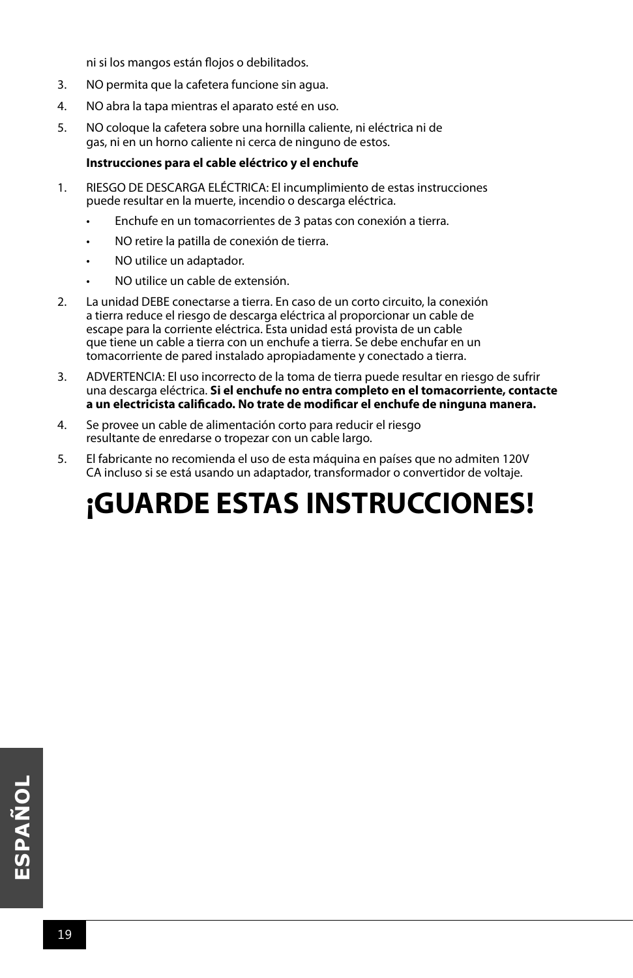ni si los mangos están flojos o debilitados.

- 3. NO permita que la cafetera funcione sin agua.
- 4. NO abra la tapa mientras el aparato esté en uso.
- 5. NO coloque la cafetera sobre una hornilla caliente, ni eléctrica ni de gas, ni en un horno caliente ni cerca de ninguno de estos.

#### **Instrucciones para el cable eléctrico y el enchufe**

- 1. RIESGO DE DESCARGA ELÉCTRICA: El incumplimiento de estas instrucciones puede resultar en la muerte, incendio o descarga eléctrica.
	- Enchufe en un tomacorrientes de 3 patas con conexión a tierra.
	- NO retire la patilla de conexión de tierra.
	- NO utilice un adaptador.
	- NO utilice un cable de extensión.
- 2. La unidad DEBE conectarse a tierra. En caso de un corto circuito, la conexión a tierra reduce el riesgo de descarga eléctrica al proporcionar un cable de escape para la corriente eléctrica. Esta unidad está provista de un cable que tiene un cable a tierra con un enchufe a tierra. Se debe enchufar en un tomacorriente de pared instalado apropiadamente y conectado a tierra.
- 3. ADVERTENCIA: El uso incorrecto de la toma de tierra puede resultar en riesgo de sufrir una descarga eléctrica. **Si el enchufe no entra completo en el tomacorriente, contacte a un electricista calificado. No trate de modificar el enchufe de ninguna manera.**
- 4. Se provee un cable de alimentación corto para reducir el riesgo resultante de enredarse o tropezar con un cable largo.
- 5. El fabricante no recomienda el uso de esta máquina en países que no admiten 120V CA incluso si se está usando un adaptador, transformador o convertidor de voltaje.

### **¡GUARDE ESTAS INSTRUCCIONES!**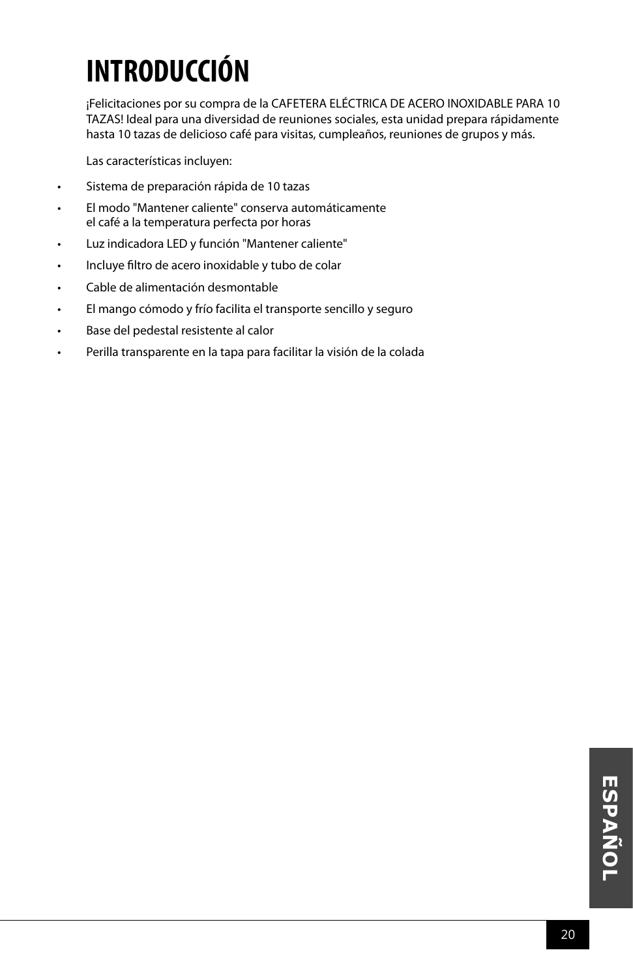### **INTRODUCCIÓN**

¡Felicitaciones por su compra de la CAFETERA ELÉCTRICA DE ACERO INOXIDABLE PARA 10 TAZAS! Ideal para una diversidad de reuniones sociales, esta unidad prepara rápidamente hasta 10 tazas de delicioso café para visitas, cumpleaños, reuniones de grupos y más.

Las características incluyen:

- Sistema de preparación rápida de 10 tazas
- El modo "Mantener caliente" conserva automáticamente el café a la temperatura perfecta por horas
- Luz indicadora LED y función "Mantener caliente"
- Incluye filtro de acero inoxidable y tubo de colar
- Cable de alimentación desmontable
- El mango cómodo y frío facilita el transporte sencillo y seguro
- Base del pedestal resistente al calor
- Perilla transparente en la tapa para facilitar la visión de la colada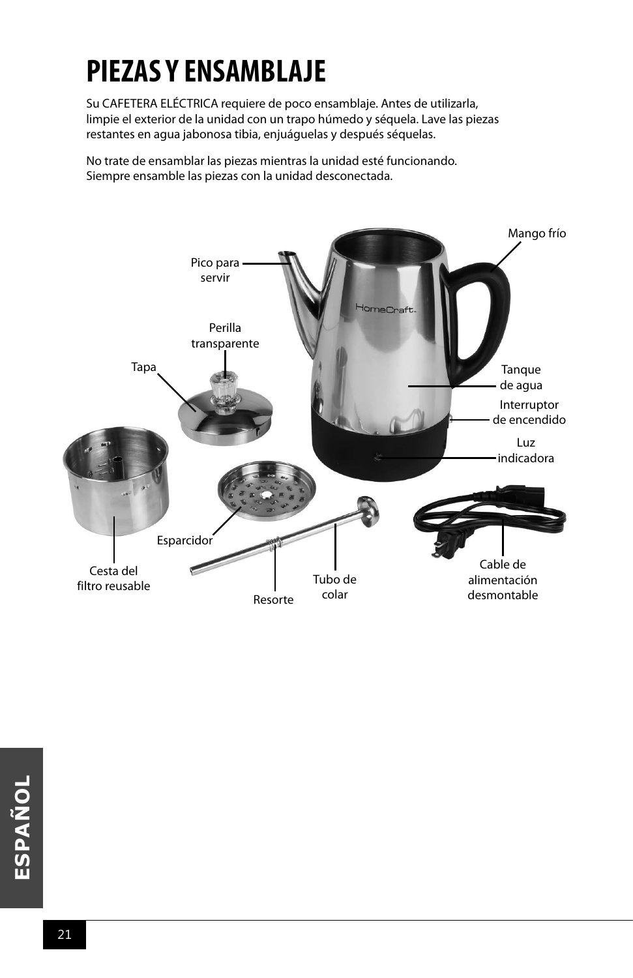### **PIEZAS Y ENSAMBLAJE**

Su CAFETERA ELÉCTRICA requiere de poco ensamblaje. Antes de utilizarla, limpie el exterior de la unidad con un trapo húmedo y séquela. Lave las piezas restantes en agua jabonosa tibia, enjuáguelas y después séquelas.

No trate de ensamblar las piezas mientras la unidad esté funcionando. Siempre ensamble las piezas con la unidad desconectada.

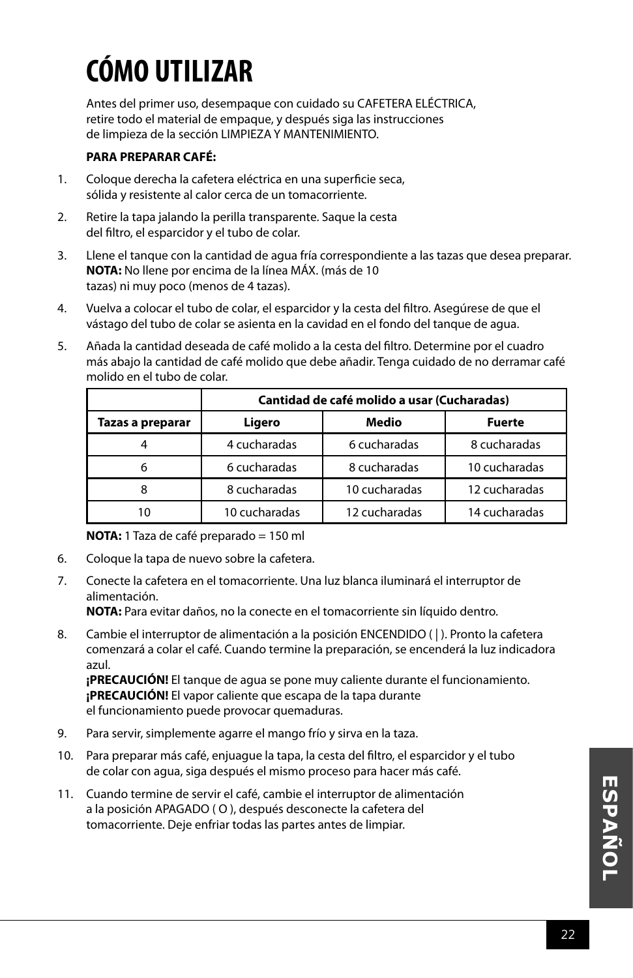## **CÓMO UTILIZAR**

Antes del primer uso, desempaque con cuidado su CAFETERA ELÉCTRICA, retire todo el material de empaque, y después siga las instrucciones de limpieza de la sección LIMPIEZA Y MANTENIMIENTO.

#### **PARA PREPARAR CAFÉ:**

- 1. Coloque derecha la cafetera eléctrica en una superficie seca, sólida y resistente al calor cerca de un tomacorriente.
- 2. Retire la tapa jalando la perilla transparente. Saque la cesta del filtro, el esparcidor y el tubo de colar.
- 3. Llene el tanque con la cantidad de agua fría correspondiente a las tazas que desea preparar. **NOTA:** No llene por encima de la línea MÁX. (más de 10 tazas) ni muy poco (menos de 4 tazas).
- 4. Vuelva a colocar el tubo de colar, el esparcidor y la cesta del filtro. Asegúrese de que el vástago del tubo de colar se asienta en la cavidad en el fondo del tanque de agua.
- 5. Añada la cantidad deseada de café molido a la cesta del filtro. Determine por el cuadro más abajo la cantidad de café molido que debe añadir. Tenga cuidado de no derramar café molido en el tubo de colar.

|                  | Cantidad de café molido a usar (Cucharadas) |               |               |  |
|------------------|---------------------------------------------|---------------|---------------|--|
| Tazas a preparar | Ligero                                      | Medio         | <b>Fuerte</b> |  |
|                  | 4 cucharadas                                | 6 cucharadas  | 8 cucharadas  |  |
| 6                | 6 cucharadas                                | 8 cucharadas  | 10 cucharadas |  |
| 8                | 8 cucharadas                                | 10 cucharadas | 12 cucharadas |  |
| 10               | 10 cucharadas                               | 12 cucharadas | 14 cucharadas |  |

**NOTA:** 1 Taza de café preparado = 150 ml

- 6. Coloque la tapa de nuevo sobre la cafetera.
- 7. Conecte la cafetera en el tomacorriente. Una luz blanca iluminará el interruptor de alimentación.

**NOTA:** Para evitar daños, no la conecte en el tomacorriente sin líquido dentro.

8. Cambie el interruptor de alimentación a la posición ENCENDIDO (|). Pronto la cafetera comenzará a colar el café. Cuando termine la preparación, se encenderá la luz indicadora azul.

**¡PRECAUCIÓN!** El tanque de agua se pone muy caliente durante el funcionamiento. **¡PRECAUCIÓN!** El vapor caliente que escapa de la tapa durante el funcionamiento puede provocar quemaduras.

- 9. Para servir, simplemente agarre el mango frío y sirva en la taza.
- 10. Para preparar más café, enjuague la tapa, la cesta del filtro, el esparcidor y el tubo de colar con agua, siga después el mismo proceso para hacer más café.
- 11. Cuando termine de servir el café, cambie el interruptor de alimentación a la posición APAGADO ( O ), después desconecte la cafetera del tomacorriente. Deje enfriar todas las partes antes de limpiar.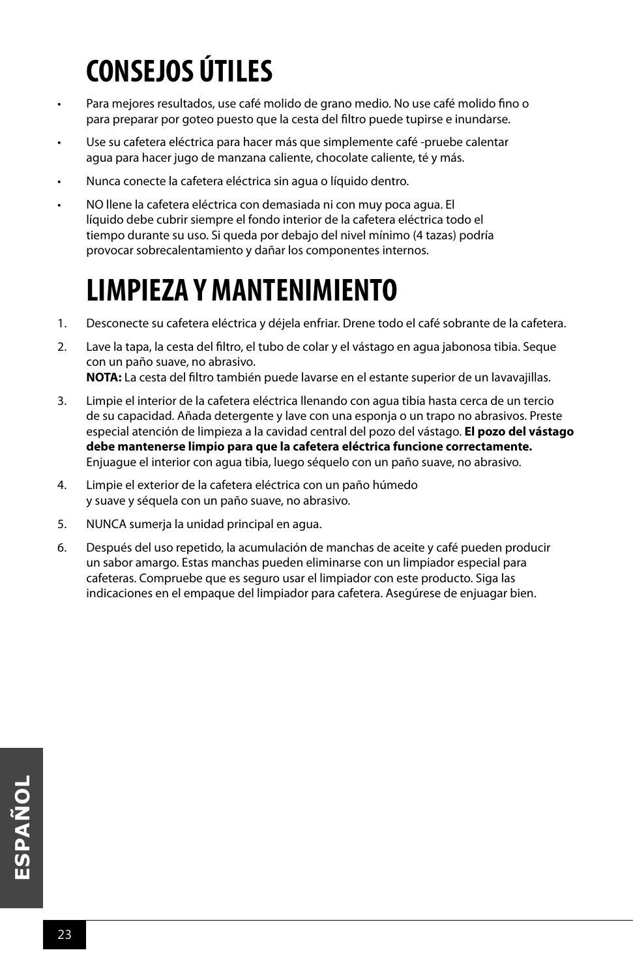### **CONSEJOS ÚTILES**

- Para mejores resultados, use café molido de grano medio. No use café molido fino o para preparar por goteo puesto que la cesta del filtro puede tupirse e inundarse.
- Use su cafetera eléctrica para hacer más que simplemente café -pruebe calentar agua para hacer jugo de manzana caliente, chocolate caliente, té y más.
- Nunca conecte la cafetera eléctrica sin agua o líquido dentro.
- NO llene la cafetera eléctrica con demasiada ni con muy poca agua. El líquido debe cubrir siempre el fondo interior de la cafetera eléctrica todo el tiempo durante su uso. Si queda por debajo del nivel mínimo (4 tazas) podría provocar sobrecalentamiento y dañar los componentes internos.

### **LIMPIEZA Y MANTENIMIENTO**

- 1. Desconecte su cafetera eléctrica y déjela enfriar. Drene todo el café sobrante de la cafetera.
- 2. Lave la tapa, la cesta del filtro, el tubo de colar y el vástago en agua jabonosa tibia. Seque con un paño suave, no abrasivo. **NOTA:** La cesta del filtro también puede lavarse en el estante superior de un lavavajillas.
- 3. Limpie el interior de la cafetera eléctrica llenando con agua tibia hasta cerca de un tercio de su capacidad. Añada detergente y lave con una esponja o un trapo no abrasivos. Preste especial atención de limpieza a la cavidad central del pozo del vástago. **El pozo del vástago debe mantenerse limpio para que la cafetera eléctrica funcione correctamente.**  Enjuague el interior con agua tibia, luego séquelo con un paño suave, no abrasivo.
- 4. Limpie el exterior de la cafetera eléctrica con un paño húmedo y suave y séquela con un paño suave, no abrasivo.
- 5. NUNCA sumerja la unidad principal en agua.
- 6. Después del uso repetido, la acumulación de manchas de aceite y café pueden producir un sabor amargo. Estas manchas pueden eliminarse con un limpiador especial para cafeteras. Compruebe que es seguro usar el limpiador con este producto. Siga las indicaciones en el empaque del limpiador para cafetera. Asegúrese de enjuagar bien.